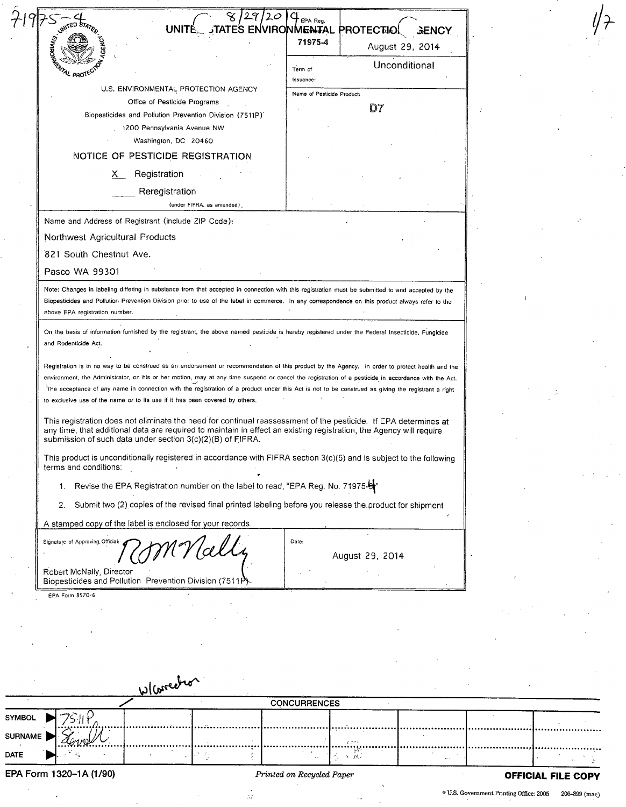|                | જ<br><b>UNITE</b>                                                                                                                                                                                                                                                                                                                                                                                                                                                                                                                                                                                                                                                                                                                                                                      | $\mathcal{C}$ EPA Reg.<br>TATES ENVIRONMENTAL PROTECTIOL<br><b>GENCY</b> |                           |
|----------------|----------------------------------------------------------------------------------------------------------------------------------------------------------------------------------------------------------------------------------------------------------------------------------------------------------------------------------------------------------------------------------------------------------------------------------------------------------------------------------------------------------------------------------------------------------------------------------------------------------------------------------------------------------------------------------------------------------------------------------------------------------------------------------------|--------------------------------------------------------------------------|---------------------------|
|                |                                                                                                                                                                                                                                                                                                                                                                                                                                                                                                                                                                                                                                                                                                                                                                                        | 71975-4<br>August 29, 2014                                               |                           |
|                |                                                                                                                                                                                                                                                                                                                                                                                                                                                                                                                                                                                                                                                                                                                                                                                        | Unconditional<br>Term of                                                 |                           |
|                | U.S. ENVIRONMENTAL PROTECTION AGENCY                                                                                                                                                                                                                                                                                                                                                                                                                                                                                                                                                                                                                                                                                                                                                   | issuance:                                                                |                           |
|                | Office of Pesticide Programs                                                                                                                                                                                                                                                                                                                                                                                                                                                                                                                                                                                                                                                                                                                                                           | Name of Pesticide Product:<br>D7                                         |                           |
|                | Biopesticides and Pollution Prevention Division (7511P)'<br>1200 Pennsylvania Avenue NW                                                                                                                                                                                                                                                                                                                                                                                                                                                                                                                                                                                                                                                                                                |                                                                          |                           |
|                | Washington, DC 20460                                                                                                                                                                                                                                                                                                                                                                                                                                                                                                                                                                                                                                                                                                                                                                   |                                                                          |                           |
|                | NOTICE OF PESTICIDE REGISTRATION                                                                                                                                                                                                                                                                                                                                                                                                                                                                                                                                                                                                                                                                                                                                                       |                                                                          |                           |
|                | Registration<br>X.                                                                                                                                                                                                                                                                                                                                                                                                                                                                                                                                                                                                                                                                                                                                                                     |                                                                          |                           |
|                | Reregistration<br>(under FIFRA, as amended),                                                                                                                                                                                                                                                                                                                                                                                                                                                                                                                                                                                                                                                                                                                                           |                                                                          |                           |
|                | Name and Address of Registrant (include ZIP Code):                                                                                                                                                                                                                                                                                                                                                                                                                                                                                                                                                                                                                                                                                                                                     |                                                                          |                           |
|                | Northwest Agricultural Products                                                                                                                                                                                                                                                                                                                                                                                                                                                                                                                                                                                                                                                                                                                                                        |                                                                          |                           |
|                | 821 South Chestnut Ave.                                                                                                                                                                                                                                                                                                                                                                                                                                                                                                                                                                                                                                                                                                                                                                |                                                                          |                           |
|                | Pasco WA 99301                                                                                                                                                                                                                                                                                                                                                                                                                                                                                                                                                                                                                                                                                                                                                                         |                                                                          |                           |
|                | Note: Changes in labeling differing in substance from that accepted in connection with this registration must be submitted to and accepted by the<br>Biopesticides and Pollution Prevention Division prior to use of the label in commerce. In any correspondence on this product always refer to the<br>above EPA registration number.                                                                                                                                                                                                                                                                                                                                                                                                                                                |                                                                          |                           |
|                | On the basis of information furnished by the registrant, the above named pesticide is hereby registered under the Federal Insecticide, Fungicide<br>and Rodenticide Act.                                                                                                                                                                                                                                                                                                                                                                                                                                                                                                                                                                                                               |                                                                          |                           |
|                | Registration is in no way to be construed as an endorsement or recommendation of this product by the Agency. In order to protect health and the<br>environment, the Administrator, on his or her motion, may at any time suspend or cancel the registration of a pesticide in accordance with the Act.<br>The acceptance of any name in connection with the registration of a product under this Act is not to be construed as giving the registrant a right<br>to exclusive use of the name or to its use if it has been covered by others.<br>This registration does not eliminate the need for continual reassessment of the pesticide. If EPA determines at<br>any time, that additional data are required to maintain in effect an existing registration, the Agency will require |                                                                          |                           |
|                | submission of such data under section 3(c)(2)(B) of FIFRA.<br>This product is unconditionally registered in accordance with FIFRA section 3(c)(5) and is subject to the following<br>terms and conditions:                                                                                                                                                                                                                                                                                                                                                                                                                                                                                                                                                                             |                                                                          |                           |
|                | 1. Revise the EPA Registration number on the label to read, "EPA Reg. No. 71975-                                                                                                                                                                                                                                                                                                                                                                                                                                                                                                                                                                                                                                                                                                       |                                                                          |                           |
|                | Submit two (2) copies of the revised final printed labeling before you release the product for shipment<br>2.                                                                                                                                                                                                                                                                                                                                                                                                                                                                                                                                                                                                                                                                          |                                                                          |                           |
|                | A stamped copy of the label is enclosed for your records.                                                                                                                                                                                                                                                                                                                                                                                                                                                                                                                                                                                                                                                                                                                              |                                                                          |                           |
|                | Signature of Approving Official:                                                                                                                                                                                                                                                                                                                                                                                                                                                                                                                                                                                                                                                                                                                                                       | Date:                                                                    |                           |
|                | xК                                                                                                                                                                                                                                                                                                                                                                                                                                                                                                                                                                                                                                                                                                                                                                                     | August 29, 2014                                                          |                           |
|                | Robert McNally, Director                                                                                                                                                                                                                                                                                                                                                                                                                                                                                                                                                                                                                                                                                                                                                               |                                                                          |                           |
|                | Biopesticides and Pollution Prevention Division (7511P).<br>EPA Form 8570-6                                                                                                                                                                                                                                                                                                                                                                                                                                                                                                                                                                                                                                                                                                            |                                                                          |                           |
|                |                                                                                                                                                                                                                                                                                                                                                                                                                                                                                                                                                                                                                                                                                                                                                                                        |                                                                          |                           |
|                |                                                                                                                                                                                                                                                                                                                                                                                                                                                                                                                                                                                                                                                                                                                                                                                        |                                                                          |                           |
|                |                                                                                                                                                                                                                                                                                                                                                                                                                                                                                                                                                                                                                                                                                                                                                                                        |                                                                          |                           |
|                |                                                                                                                                                                                                                                                                                                                                                                                                                                                                                                                                                                                                                                                                                                                                                                                        |                                                                          |                           |
|                |                                                                                                                                                                                                                                                                                                                                                                                                                                                                                                                                                                                                                                                                                                                                                                                        |                                                                          |                           |
|                | Wlarrecho                                                                                                                                                                                                                                                                                                                                                                                                                                                                                                                                                                                                                                                                                                                                                                              |                                                                          |                           |
| SYMBOL         |                                                                                                                                                                                                                                                                                                                                                                                                                                                                                                                                                                                                                                                                                                                                                                                        | <b>CONCURRENCES</b>                                                      |                           |
| <b>SURNAME</b> |                                                                                                                                                                                                                                                                                                                                                                                                                                                                                                                                                                                                                                                                                                                                                                                        |                                                                          |                           |
|                |                                                                                                                                                                                                                                                                                                                                                                                                                                                                                                                                                                                                                                                                                                                                                                                        |                                                                          |                           |
| <b>DATE</b>    |                                                                                                                                                                                                                                                                                                                                                                                                                                                                                                                                                                                                                                                                                                                                                                                        | 1 36                                                                     |                           |
|                | EPA Form 1320-1A (1/90)                                                                                                                                                                                                                                                                                                                                                                                                                                                                                                                                                                                                                                                                                                                                                                | Printed on Recycled Paper                                                | <b>OFFICIAL FILE COPY</b> |

 $\frac{1}{\sqrt{2}}$ 

 $\approx$  U.S. Government Printing Office: 2005 206-899 (mac)

**//f**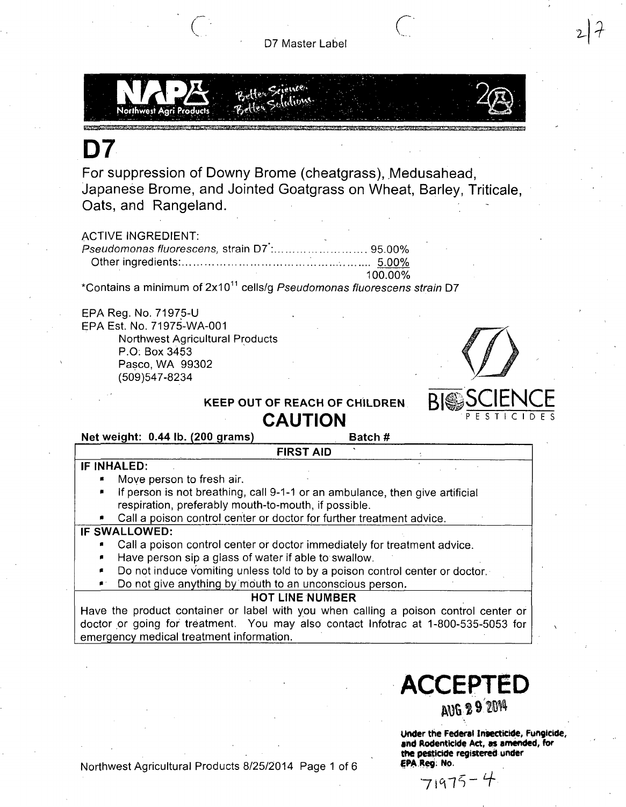

# **D7**

For suppression of Downy Brome (cheatgrass), Medusahead, Japanese Brome, and Jointed Goatgrass on Wheat, Barley, Triticaie, Oats, and Rangeland.

## **ACTIVE INGREDIENT:**

| 100.00% |
|---------|

\*Contains a minimum of 2x10<sup>11</sup> cells/g *Pseudomonas fluorescens strain* D7

EPA Reg. No. 71975-U EPA Est. No. 71975-WA-001 Northwest Agricultural Products P.O: Box 3453 Pasco, WA 99302

(509)547-8234



PESTICIDES

 $2<sub>1</sub>$ 

## KEEP OUT OF REACH OF CHILDREN

# **CAUTION**

Net weight: 0.44 lb. (200 grams) Batch #

**FIRST AID** 

## **IF INHALED:**

- Move person to fresh air.
- If person is not breathing, call 9-1-1 or an ambulance, then give artificial respiration, preferably mouth-to-mouth, if possible.

Call a poison control center or doctor for further treatment advice.

## **IF SWALLOWED:**

- Call a poison control center or doctor immediately for treatment advice.
- Have person sip a glass of water if able to swallow.
- Do not induce vomiting unless told to by a poison control center or doctor.
- Do not give anything by mouth to an unconscious person.

## **HOT LINE NUMBER**

Have the product container or label with you when calling a poison control center or doctor or going for treatment. You may also contact Infotrac at 1-800-535-5053 for emergency medical treatment information.

> Under the Federal Insecticide, Fungicide, and Rodenticide Act, as amended, for the pesticide registered under EPA Reg; No.

**ACCEPTED** 

 $71975 - 4$ 

Northwest Agricultural Products 8/25/2014 Page 1 of 6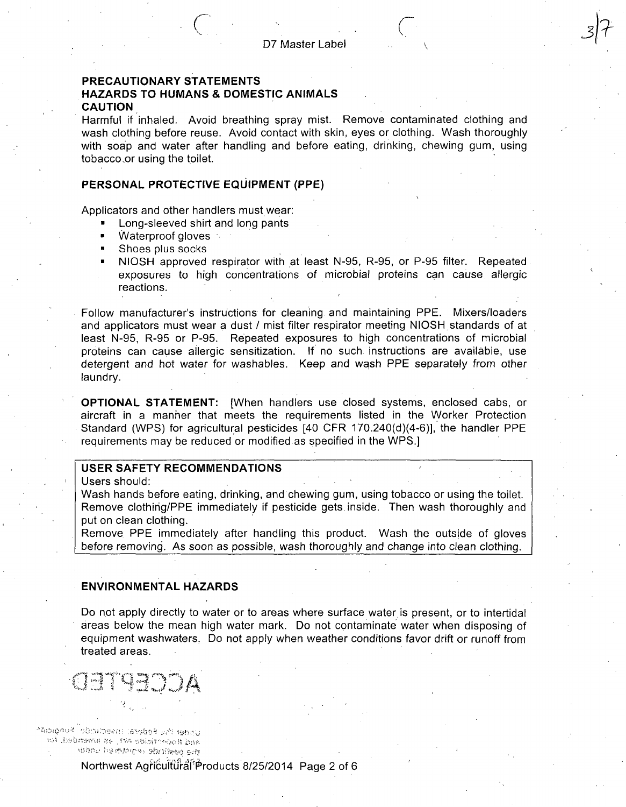## **PRECAUTIONARY STATEMENTS**

## **HAZARDS TO HUMANS & DOMESTIC ANIMALS CAUTION**

Harmful if inhaled. Avoid breathing spray mist. Remove contaminated clothing and wash clothing before reuse. Avoid contact with skin, eyes or clothing. Wash thoroughly with soap and water after handling and before eating, drinking, chewing gum, using tobacco.or using the toilet.

### **PERSONAL PROTECTIVE EQUIPMENT (PPE)**

Applicators and other handlers must wear:

- Long-sleeved shirt and long pants
- Waterproof gloves :
- Shoes plus socks
- NIOSH approved respirator with at least N-95, R-95, or P-95 filter. Repeated exposures to high concentrations of microbial proteins can cause, allergic reactions.

V.

**J?** 

Follow manufacturer's instructions for cleaning and maintaining PPE. Mixers/loaders and applicators must wear a dust / mist filter respirator meeting NIOSH standards of at least N-95, R-95 or P-95. Repeated exposures to high concentrations of microbial proteins can cause allergic sensitization. If no such instructions are available, use detergent and hot water for washables. Keep and wash PPE separately from other laundry.

OPTIONAL STATEMENT: [When handlers use closed systems, enclosed cabs, or aircraft in a manner that meets the requirements listed in the VVorker Protection Standard (WPS) for agricultural pesticides [40 CFR 170.240(d)(4-6)], the handler PPE requirements may be reduced or modified as specified in the WPS.]

## **USER SAFETY RECOMMENDATIONS**

Users should:

Wash hands before eating, drinking, and chewing gum, using tobacco or using the toilet. Remove clothirig/PPE immediately if pesticide gets, inside. Then wash thoroughly and put on clean clothing.

Remove PPE immediately after handling this product. Wash the outsjde of gloves before removing. As soon as possible, wash thoroughly and change into clean clothing.

## **ENVIRONMENTAL HAZARDS**

Do not apply directly to water or to areas where surface water is present, or to intertidal areas below the mean high water mark. Do not contaminate water when disposing of equipment washwaters. Do not apply when weather conditions favor drift or runoff from treated areas.

**«>..i S** 

งโดวเดูทันที <sup>2</sup>รโดร์เกิดลักร (Assisted and telecist and Rogerstelds wit, as amended, for white hambers shripen am

## Northwest Agricultural Products 8/25/2014 Page 2 of 6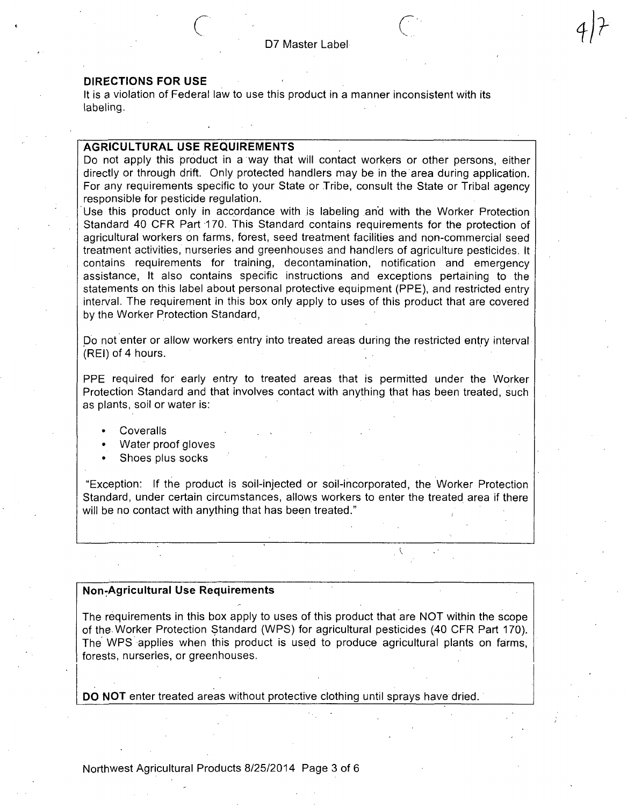It is a violation of Federal law to use this product in a manner inconsistent with its labeling.

#### **AGRICULTURAL USE REQUIREMENTS**

Do not apply this product in a way that will contact workers or other persons, either directly or through drift. Only protected handlers may be in the area during application. For any requirements specific to your State or Tribe, consult the State or Tribal agency responsible for pesticide regulation.

Use this product only in accordance with is labeling and with the Worker Protection Standard 40 CFR Part 170. This Standard contains requirements for the protection of agricultural workers on farms, forest, seed treatment facilities and non-commercial seed treatment activities, nurseries and greenhouses and handlers of agriculture pesticides. It contains requirements for training, decontamination, notification and emergency assistance. It also contains specific instructions and exceptions pertaining to the statements on this label about personal protective equipment (PPE), and restricted entry interval. The requirement in this box only apply to uses of this product that are covered by the Worker Protection Standard,

Do not enter or allow workers entry into treated areas during the restricted entry interval (REI) of 4 hours.

PPE required for early entry to treated areas that is permitted under the Worker Protection Standard and that involves contact with anything that has been treated, such as plants, soil or water is:

- Coveralls
- Water proof gloves
- Shoes plus socks

"Exception: If the product is soil-injected or soil-incorporated, the Worker Protection Standard, under certain circumstances, allows workers to enter the treated area if there will be no contact with anything that has been treated."

#### **Non^Agricultural Use Requirements**

The requirements in this box apply to uses of this product that are NOT within the scope of the Worker Protection Standard (WPS) for agricultural pesticides (40 CFR Part 170). The WPS applies when this product is used to produce agricultural plants on farms, forests, nurseries, or greenhouses.

DO NOT enter treated areas without protective clothing until sprays have dried.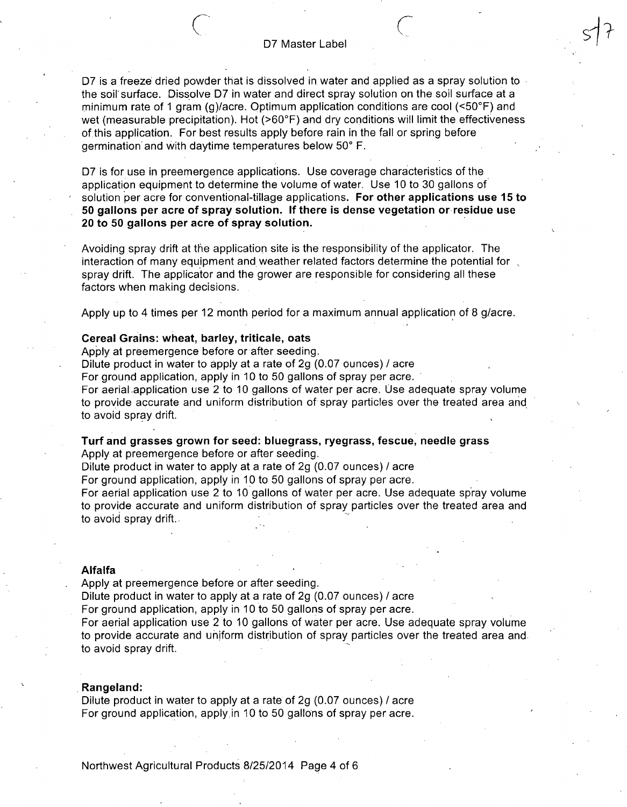#### **r-**. D7 Master Label

**si 7** 

D7 is a freeze dried powder that is dissolved in water and applied as a spray solution to the soil surface. Dissolve D7 in water and direct spray solution on the soil surface at a minimum rate of 1 gram (g)/acre. Optimum application conditions are cool (<50°F) and wet (measurable precipitation). Hot (>60°F) and dry conditions will limit the effectiveness of this application. For best results apply before rain in the fall or spring before germination and with daytime temperatures below 50° F.

**07 is for use in preemergence applications. Use coverage characteristics of the application equipment to determine the volume of water. Use 10 to 30 gallons of solution per acre for conventional-tillage applications. For other applications use 15 to 50 gallons per acre of spray solution. If there is dense vegetation or residue use 20 to 50 gallons per acre of spray solution.** 

Avoiding spray drift at the application site is the responsibility of the applicator. The interaction of many equipment and weather related factors determine the potential for , spray drift. The applicator and the grower are responsible for considering all these factors when making decisions.

Apply up to 4 times per 12 month period for a maximum annual application of 8 g/acre.

#### **Cereal Grains: wheat, barley, triticale, oats**

Apply at preemergence before or after seeding.

Dilute product in water to apply at a rate of 2g (0.07 ounces) / acre

For ground application, apply in 10 to 50 gallons of spray per acre.

For aerial .application use 2 to 10 gallons of water per acre. Use adequate spray volume to provide accurate and uniform distribution of spray particles over the treated area and to avoid spray drift.

**Turf and grasses grown for seed: bluegrass, ryegrass, fescue, needle grass** 

Apply at preemergence before or after seeding.

Dilute product in water to apply at a rate of 2g (0.07 ounces) / acre

For ground application, apply in 10 to 50 gallons of spray per acre.

For aerial application use 2 to 10 gallons of water per acre. Use adequate spray volume to provide accurate and uniform distribution of spray particles over the treated area and to avoid spray drift.

#### **Alfalfa**

Apply at preemergence before or after seeding.

Dilute product in water to apply at a rate of  $2g(0.07 \text{ ounces})/$  acre

For ground application, apply in 10 to 50 gallons of spray per acre.

For aerial application use 2 to 10 gallons of water per acre. Use adequate spray volume to provide accurate and uniform distribution of spray particles over the treated area and to avoid spray drift.

#### **Rangeland:**

Dilute product in water to apply at a rate of 2g (0.07 ounces) / acre For ground application, apply in 10 to 50 gallons of spray per acre.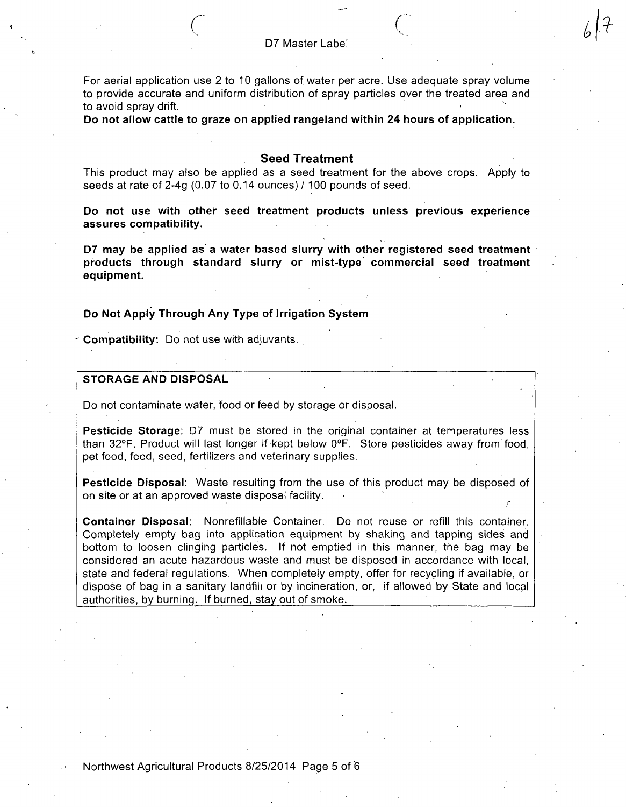$67 +$ 

**r" r** 

For aerial application use 2 to 10 gallons of water per acre. Use adequate spray volume to provide accurate and uniform distribution of spray particles over the treated area and to avoid spray drift.

**Do not allow cattle to graze on applied rangeland within 24 hours of application.** 

### **Seed Treatment**

This product may also be applied as a seed treatment for the above crops. Apply to seeds at rate of 2-4g (0.07 to 0.14 ounces) /100 pounds of seed.

**Do not use with other seed treatment products unless previous experience assures compatibility.** 

**D7 may be applied as'a water based slurry with other registered seed treatment products through standard slurry or mist-type commercial seed treatment equipment.** 

## Do Not Apply Through Any Type of Irrigation System

 $\sim$  Compatibility: Do not use with adjuvants.

## **STORAGE AND DISPOSAL**

Do not contaminate water, food or feed by storage or disposal.

Pesticide Storage; D7 must be stored in the original container at temperatures less than 32°F. Product will last longer if kept below 0°F. Store pesticides away from food, pet food, feed, seed, fertilizers and veterinary supplies.

Pesticide Disposal: Waste resulting from the use of this product may be disposed of on site or at an approved waste disposal facility.

Container Disposal: Nonrefillable Container. Do not reuse or refill this container. Completely empty bag into application equipment by shaking and tapping sides and bottom to loosen clinging particles. If not emptied in this manner, the bag may be considered an acute hazardous waste and must be disposed in accordance with local, state and federal regulations. When completely empty, offer for recycling if available, or dispose of bag in a sanitary landfill or by incineration, or, if allowed by State and local authorities, by burning. If burned, stay out of smoke.